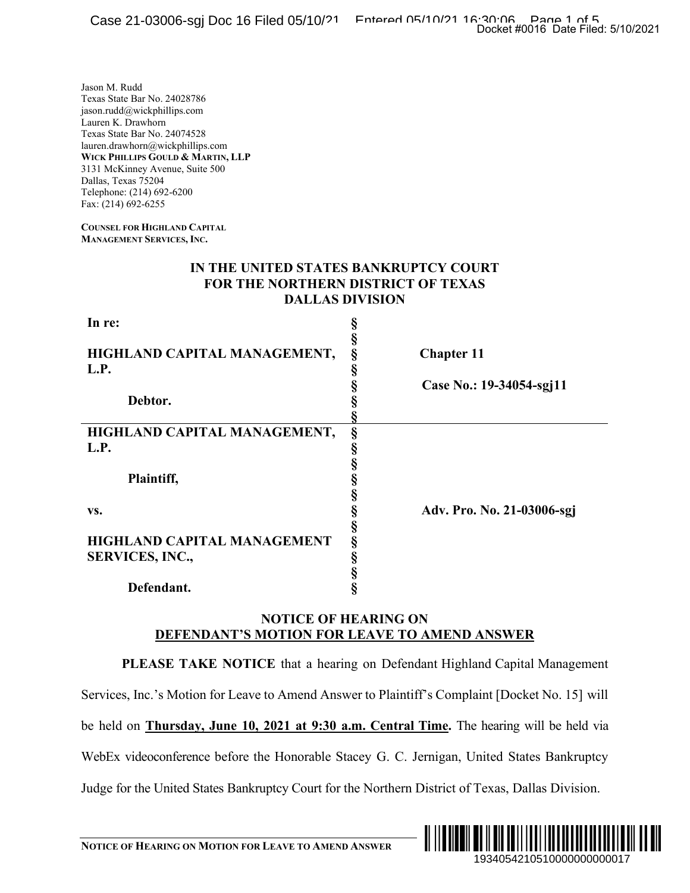#### **IN THE UNITED STATES BANKRUPTCY COURT FOR THE NORTHERN DISTRICT OF TEXAS DALLAS DIVISION**

|                                                                                                                                                                                                                                                                                                                           | Docket #0016 Date Filed: 5/10/2021                                                                           |
|---------------------------------------------------------------------------------------------------------------------------------------------------------------------------------------------------------------------------------------------------------------------------------------------------------------------------|--------------------------------------------------------------------------------------------------------------|
| Jason M. Rudd<br>Texas State Bar No. 24028786<br>jason.rudd@wickphillips.com<br>Lauren K. Drawhorn<br>Texas State Bar No. 24074528<br>lauren.drawhorn@wickphillips.com<br>WICK PHILLIPS GOULD & MARTIN, LLP<br>3131 McKinney Avenue, Suite 500<br>Dallas, Texas 75204<br>Telephone: (214) 692-6200<br>Fax: (214) 692-6255 |                                                                                                              |
| Counsel for Highland Capital<br><b>MANAGEMENT SERVICES, INC.</b>                                                                                                                                                                                                                                                          |                                                                                                              |
|                                                                                                                                                                                                                                                                                                                           | IN THE UNITED STATES BANKRUPTCY COURT<br><b>FOR THE NORTHERN DISTRICT OF TEXAS</b><br><b>DALLAS DIVISION</b> |
| In re:                                                                                                                                                                                                                                                                                                                    | §<br>§                                                                                                       |
| HIGHLAND CAPITAL MANAGEMENT,<br>L.P.                                                                                                                                                                                                                                                                                      | §<br><b>Chapter 11</b>                                                                                       |
| Debtor.                                                                                                                                                                                                                                                                                                                   | §<br>Case No.: 19-34054-sgj11<br>§                                                                           |
| HIGHLAND CAPITAL MANAGEMENT,<br>L.P.                                                                                                                                                                                                                                                                                      | §<br>§<br>§                                                                                                  |
| Plaintiff,<br>VS.                                                                                                                                                                                                                                                                                                         | §<br>§<br>§<br>Adv. Pro. No. 21-03006-sgj                                                                    |
| HIGHLAND CAPITAL MANAGEMENT<br>SERVICES, INC.,                                                                                                                                                                                                                                                                            | Ş<br>§<br>§<br>§                                                                                             |
| Defendant.                                                                                                                                                                                                                                                                                                                | Ş                                                                                                            |
|                                                                                                                                                                                                                                                                                                                           | <b>NOTICE OF HEARING ON</b><br>DEFENDANT'S MOTION FOR LEAVE TO AMEND ANSWER                                  |
|                                                                                                                                                                                                                                                                                                                           | PLEASE TAKE NOTICE that a hearing on Defendant Highland Capital Management                                   |
|                                                                                                                                                                                                                                                                                                                           | Services, Inc.'s Motion for Leave to Amend Answer to Plaintiff's Complaint [Docket No. 15] will              |
|                                                                                                                                                                                                                                                                                                                           | be held on <b>Thursday, June 10, 2021 at 9:30 a.m. Central Time</b> . The hearing will be held via           |
|                                                                                                                                                                                                                                                                                                                           | WebEx videoconference before the Honorable Stacey G. C. Jernigan, United States Bankruptcy                   |
| Judge for the United States Bankruptcy Court for the Northern District of Texas, Dallas Division.                                                                                                                                                                                                                         |                                                                                                              |
| NOTICE OF HEARING ON MOTION FOR LEAVE TO AMEND ANSWER                                                                                                                                                                                                                                                                     | III IIII<br>1934054210510000000000017                                                                        |

#### **NOTICE OF HEARING ON DEFENDANT'S MOTION FOR LEAVE TO AMEND ANSWER**



## ¨1¤}HV5%\* 1`«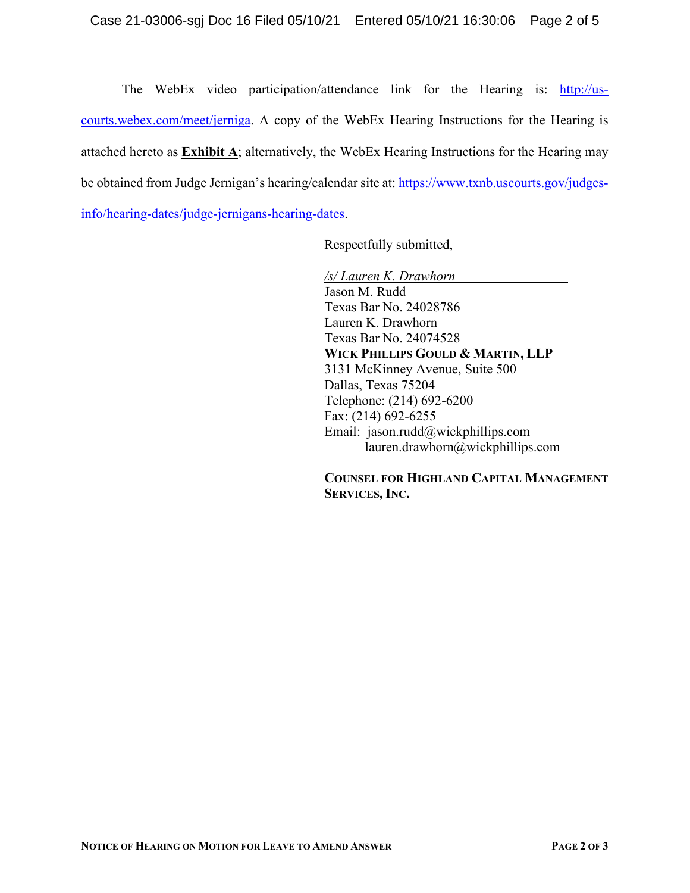The WebEx video participation/attendance link for the Hearing is: [http://us](http://us-courts.webex.com/meet/jerniga)[courts.webex.com/meet/jerniga.](http://us-courts.webex.com/meet/jerniga) A copy of the WebEx Hearing Instructions for the Hearing is attached hereto as **Exhibit A**; alternatively, the WebEx Hearing Instructions for the Hearing may be obtained from Judge Jernigan's hearing/calendar site at[: https://www.txnb.uscourts.gov/judges](https://www.txnb.uscourts.gov/judges-info/hearing-dates/judge-jernigans-hearing-dates)[info/hearing-dates/judge-jernigans-hearing-dates.](https://www.txnb.uscourts.gov/judges-info/hearing-dates/judge-jernigans-hearing-dates)

Respectfully submitted,

*/s/ Lauren K. Drawhorn* Jason M. Rudd Texas Bar No. 24028786 Lauren K. Drawhorn Texas Bar No. 24074528 **WICK PHILLIPS GOULD & MARTIN, LLP** 3131 McKinney Avenue, Suite 500 Dallas, Texas 75204 Telephone: (214) 692-6200 Fax: (214) 692-6255 Email: jason.rudd@wickphillips.com lauren.drawhorn@wickphillips.com

**COUNSEL FOR HIGHLAND CAPITAL MANAGEMENT SERVICES, INC.**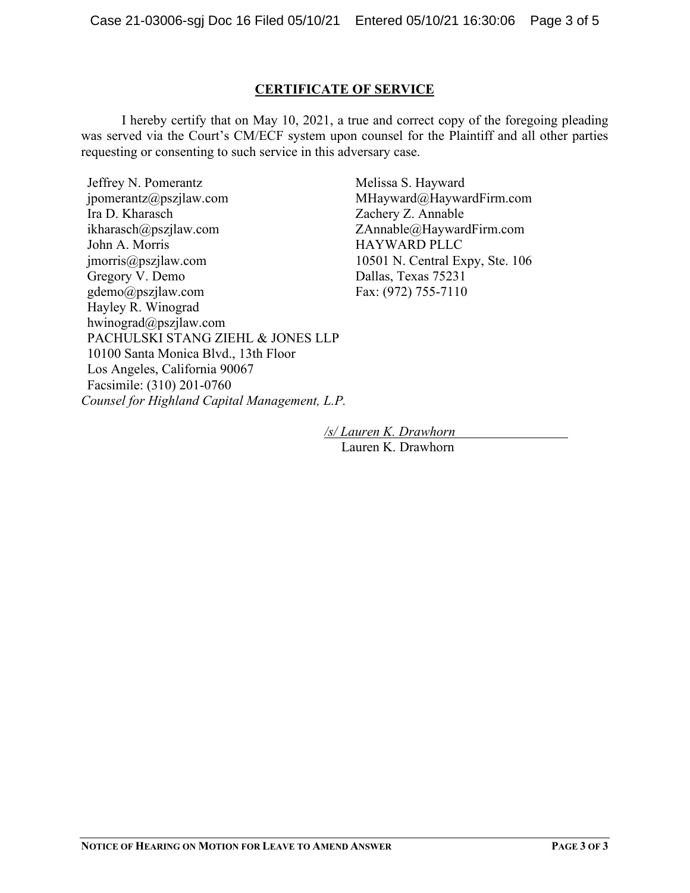#### **CERTIFICATE OF SERVICE**

I hereby certify that on May 10, 2021, a true and correct copy of the foregoing pleading was served via the Court's CM/ECF system upon counsel for the Plaintiff and all other parties requesting or consenting to such service in this adversary case.

Jeffrey N. Pomerantz jpomerantz@pszjlaw.com Ira D. Kharasch ikharasch@pszjlaw.com John A. Morris jmorris@pszjlaw.com Gregory V. Demo gdemo@pszjlaw.com Hayley R. Winograd hwinograd@pszjlaw.com PACHULSKI STANG ZIEHL & JONES LLP 10100 Santa Monica Blvd., 13th Floor Los Angeles, California 90067 Facsimile: (310) 201-0760 *Counsel for Highland Capital Management, L.P.*

Melissa S. Hayward MHayward@HaywardFirm.com Zachery Z. Annable ZAnnable@HaywardFirm.com HAYWARD PLLC 10501 N. Central Expy, Ste. 106 Dallas, Texas 75231 Fax: (972) 755-7110

*/s/ Lauren K. Drawhorn* Lauren K. Drawhorn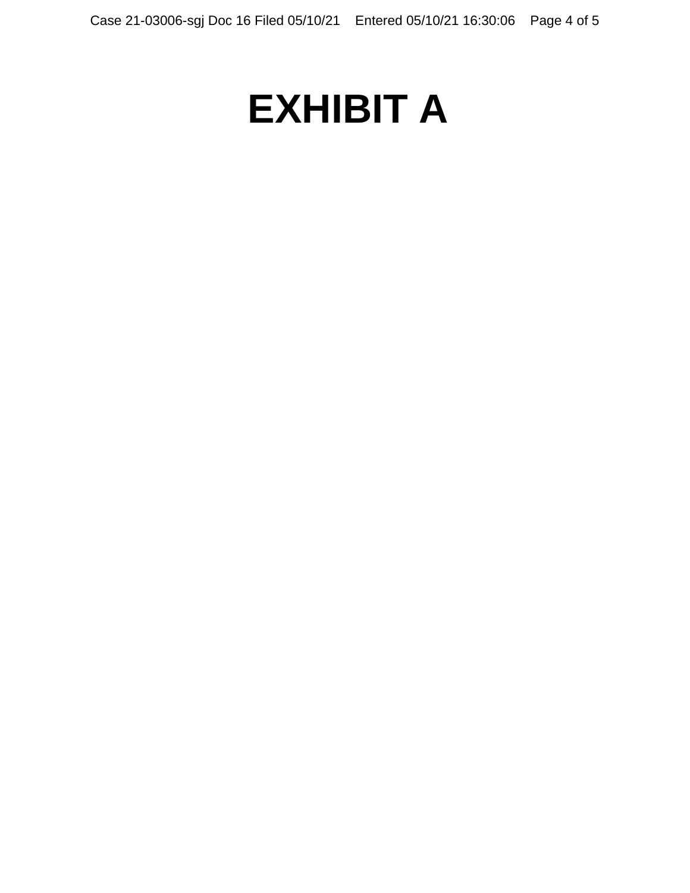# **EXHIBIT A**